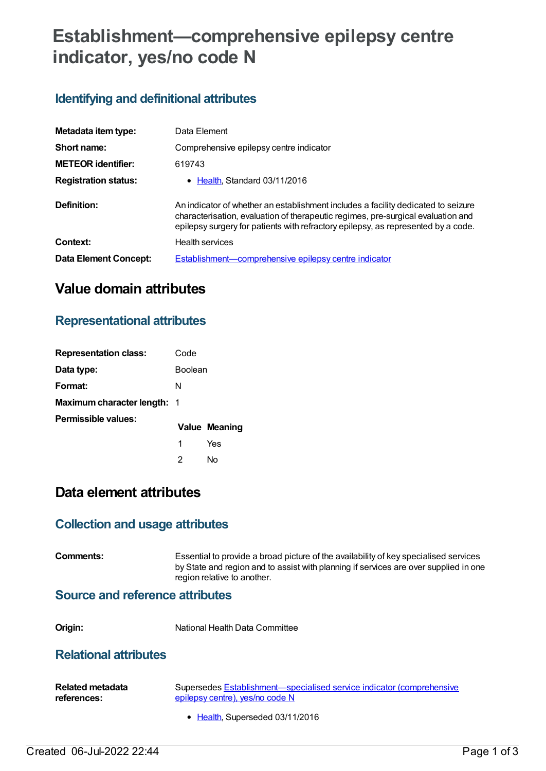# **Establishment—comprehensive epilepsy centre indicator, yes/no code N**

### **Identifying and definitional attributes**

| Metadata item type:         | Data Element                                                                                                                                                                                                                                               |
|-----------------------------|------------------------------------------------------------------------------------------------------------------------------------------------------------------------------------------------------------------------------------------------------------|
| Short name:                 | Comprehensive epilepsy centre indicator                                                                                                                                                                                                                    |
| <b>METEOR</b> identifier:   | 619743                                                                                                                                                                                                                                                     |
| <b>Registration status:</b> | • Health Standard 03/11/2016                                                                                                                                                                                                                               |
| Definition:                 | An indicator of whether an establishment includes a facility dedicated to seizure<br>characterisation, evaluation of therapeutic regimes, pre-surgical evaluation and<br>epilepsy surgery for patients with refractory epilepsy, as represented by a code. |
| Context:                    | <b>Health services</b>                                                                                                                                                                                                                                     |
| Data Element Concept:       | Establishment—comprehensive epilepsy centre indicator                                                                                                                                                                                                      |

## **Value domain attributes**

### **Representational attributes**

| <b>Representation class:</b>       | Code           |                      |
|------------------------------------|----------------|----------------------|
| Data type:                         | <b>Boolean</b> |                      |
| Format:                            | N              |                      |
| <b>Maximum character length: 1</b> |                |                      |
| Permissible values:                |                | <b>Value Meaning</b> |
|                                    | 1              | Yes                  |
|                                    | 2              | N٥                   |

### **Data element attributes**

#### **Collection and usage attributes**

**Comments:** Essential to provide a broad picture of the availability of key specialised services by State and region and to assist with planning if services are over supplied in one region relative to another.

#### **Source and reference attributes**

**Origin:** National Health Data Committee

#### **Relational attributes**

| <b>Related metadata</b> | Supersedes Establishment—specialised service indicator (comprehensive |
|-------------------------|-----------------------------------------------------------------------|
| references:             | epilepsy centre), yes/no code N                                       |
|                         |                                                                       |

• [Health](https://meteor.aihw.gov.au/RegistrationAuthority/12), Superseded 03/11/2016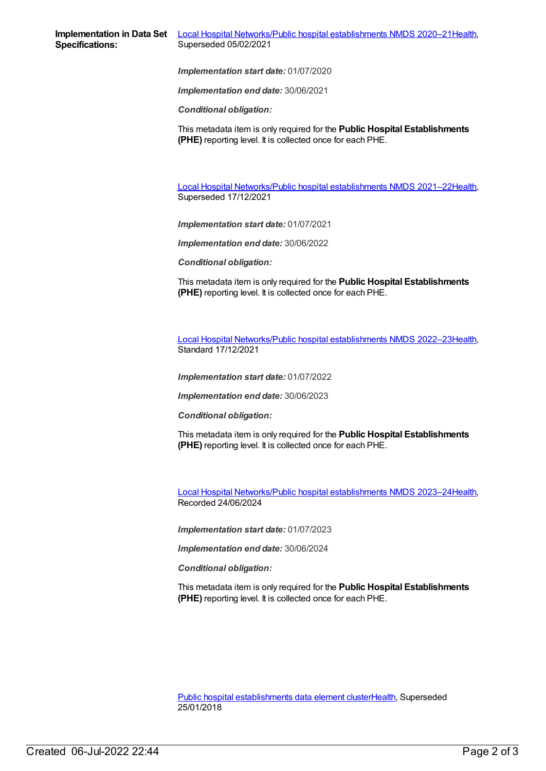*Implementation start date:* 01/07/2020

*Implementation end date:* 30/06/2021

*Conditional obligation:*

This metadata item is only required for the **Public Hospital Establishments (PHE)** reporting level. It is collected once for each PHE.

Local Hospital [Networks/Public](https://meteor.aihw.gov.au/content/727356) hospital establishments NMDS 2021–22[Health](https://meteor.aihw.gov.au/RegistrationAuthority/12), Superseded 17/12/2021

*Implementation start date:* 01/07/2021

*Implementation end date:* 30/06/2022

*Conditional obligation:*

This metadata item is only required for the **Public Hospital Establishments (PHE)** reporting level. It is collected once for each PHE.

Local Hospital [Networks/Public](https://meteor.aihw.gov.au/content/742044) hospital establishments NMDS 2022–23[Health](https://meteor.aihw.gov.au/RegistrationAuthority/12), Standard 17/12/2021

*Implementation start date:* 01/07/2022

*Implementation end date:* 30/06/2023

*Conditional obligation:*

This metadata item is only required for the **Public Hospital Establishments (PHE)** reporting level. It is collected once for each PHE.

Local Hospital [Networks/Public](https://meteor.aihw.gov.au/content/756101) hospital establishments NMDS 2023–24[Health](https://meteor.aihw.gov.au/RegistrationAuthority/12), Recorded 24/06/2024

*Implementation start date:* 01/07/2023

*Implementation end date:* 30/06/2024

*Conditional obligation:*

This metadata item is only required for the **Public Hospital Establishments (PHE)** reporting level. It is collected once for each PHE.

Public hospital [establishments](https://meteor.aihw.gov.au/content/643172) data element cluste[rHealth](https://meteor.aihw.gov.au/RegistrationAuthority/12), Superseded 25/01/2018